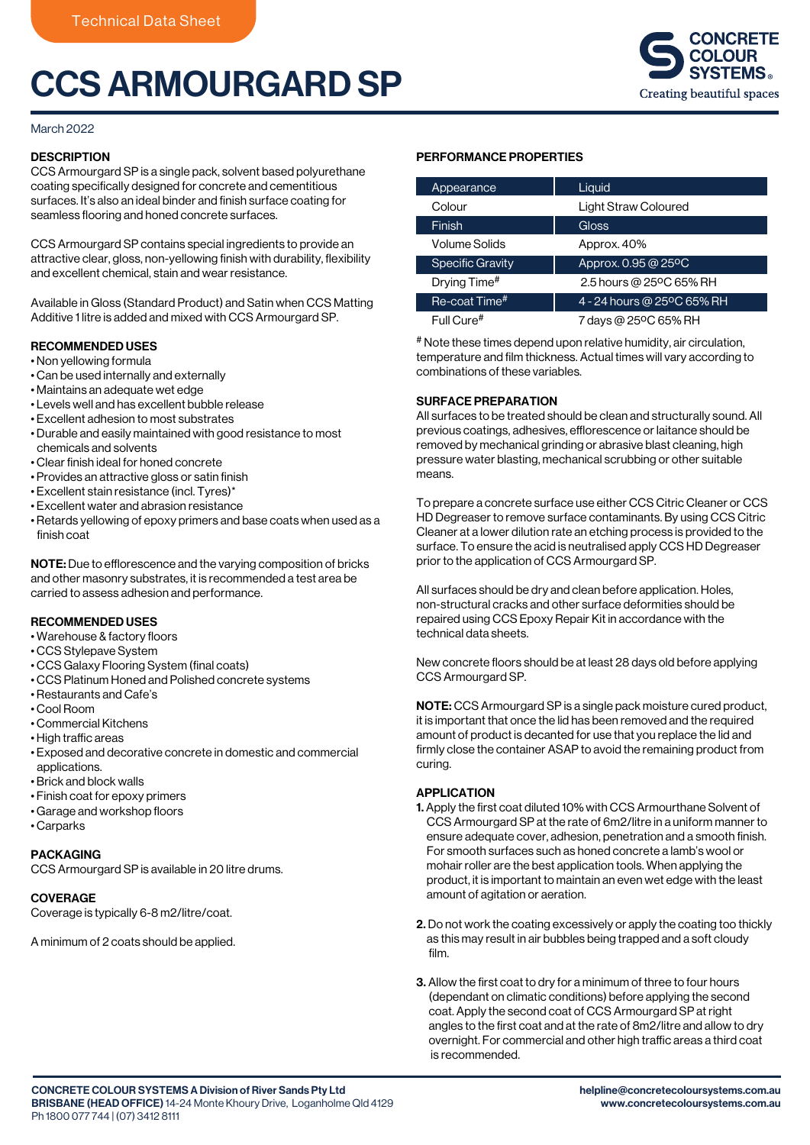# CCS ARMOURGARD SP



#### March 2022

# **DESCRIPTION**

CCS Armourgard SP is a single pack, solvent based polyurethane coating specifically designed for concrete and cementitious surfaces. It's also an ideal binder and finish surface coating for seamless flooring and honed concrete surfaces.

CCS Armourgard SP contains special ingredients to provide an attractive clear, gloss, non-yellowing finish with durability, flexibility and excellent chemical, stain and wear resistance.

Available in Gloss (Standard Product) and Satin when CCS Matting Additive 1 litre is added and mixed with CCS Armourgard SP.

# RECOMMENDED USES

- Non yellowing formula
- Can be used internally and externally
- Maintains an adequate wet edge
- Levels well and has excellent bubble release
- Excellent adhesion to most substrates
- Durable and easily maintained with good resistance to most chemicals and solvents
- Clear finish ideal for honed concrete
- Provides an attractive gloss or satin finish
- Excellent stain resistance (incl. Tyres)\*
- Excellent water and abrasion resistance
- Retards yellowing of epoxy primers and base coats when used as a finish coat

NOTE: Due to efflorescence and the varying composition of bricks and other masonry substrates, it is recommended a test area be carried to assess adhesion and performance.

#### RECOMMENDED USES

- Warehouse & factory floors
- CCS Stylepave System
- CCS Galaxy Flooring System (final coats)
- CCS Platinum Honed and Polished concrete systems
- Restaurants and Cafe's
- Cool Room
- Commercial Kitchens
- High traffic areas
- Exposed and decorative concrete in domestic and commercial applications.
- Brick and block walls
- Finish coat for epoxy primers
- Garage and workshop floors
- Carparks

# PACKAGING

CCS Armourgard SP is available in 20 litre drums.

#### **COVERAGE**

Coverage is typically 6-8 m2/litre/coat.

A minimum of 2 coats should be applied.

# PERFORMANCE PROPERTIES

| Appearance                | Liquid                     |
|---------------------------|----------------------------|
| Colour                    | Light Straw Coloured       |
| Finish <sup>'</sup>       | Gloss                      |
| Volume Solids             | Approx. 40%                |
| <b>Specific Gravity</b>   | Approx. 0.95 @ 25°C        |
| Drying Time <sup>#</sup>  | 2.5 hours @ 25°C 65% RH    |
| Re-coat Time <sup>#</sup> | 4 - 24 hours @ 25°C 65% RH |
| Full Cure#                | 7 days @ 25ºC 65% RH       |

# Note these times depend upon relative humidity, air circulation, temperature and film thickness. Actual times will vary according to combinations of these variables.

# SURFACE PREPARATION

All surfaces to be treated should be clean and structurally sound. All previous coatings, adhesives, efflorescence or laitance should be removed by mechanical grinding or abrasive blast cleaning, high pressure water blasting, mechanical scrubbing or other suitable means.

To prepare a concrete surface use either CCS Citric Cleaner or CCS HD Degreaser to remove surface contaminants. By using CCS Citric Cleaner at a lower dilution rate an etching process is provided to the surface. To ensure the acid is neutralised apply CCS HD Degreaser prior to the application of CCS Armourgard SP.

All surfaces should be dry and clean before application. Holes, non-structural cracks and other surface deformities should be repaired using CCS Epoxy Repair Kit in accordance with the technical data sheets.

New concrete floors should be at least 28 days old before applying CCS Armourgard SP.

NOTE: CCS Armourgard SP is a single pack moisture cured product, it is important that once the lid has been removed and the required amount of product is decanted for use that you replace the lid and firmly close the container ASAP to avoid the remaining product from curing.

#### APPLICATION

- 1. Apply the first coat diluted 10% with CCS Armourthane Solvent of CCS Armourgard SP at the rate of 6m2/litre in a uniform manner to ensure adequate cover, adhesion, penetration and a smooth finish. For smooth surfaces such as honed concrete a lamb's wool or mohair roller are the best application tools. When applying the product, it is important to maintain an even wet edge with the least amount of agitation or aeration.
- 2. Do not work the coating excessively or apply the coating too thickly as this may result in air bubbles being trapped and a soft cloudy film.
- 3. Allow the first coat to dry for a minimum of three to four hours (dependant on climatic conditions) before applying the second coat. Apply the second coat of CCS Armourgard SP at right angles to the first coat and at the rate of 8m2/litre and allow to dry overnight. For commercial and other high traffic areas a third coat is recommended.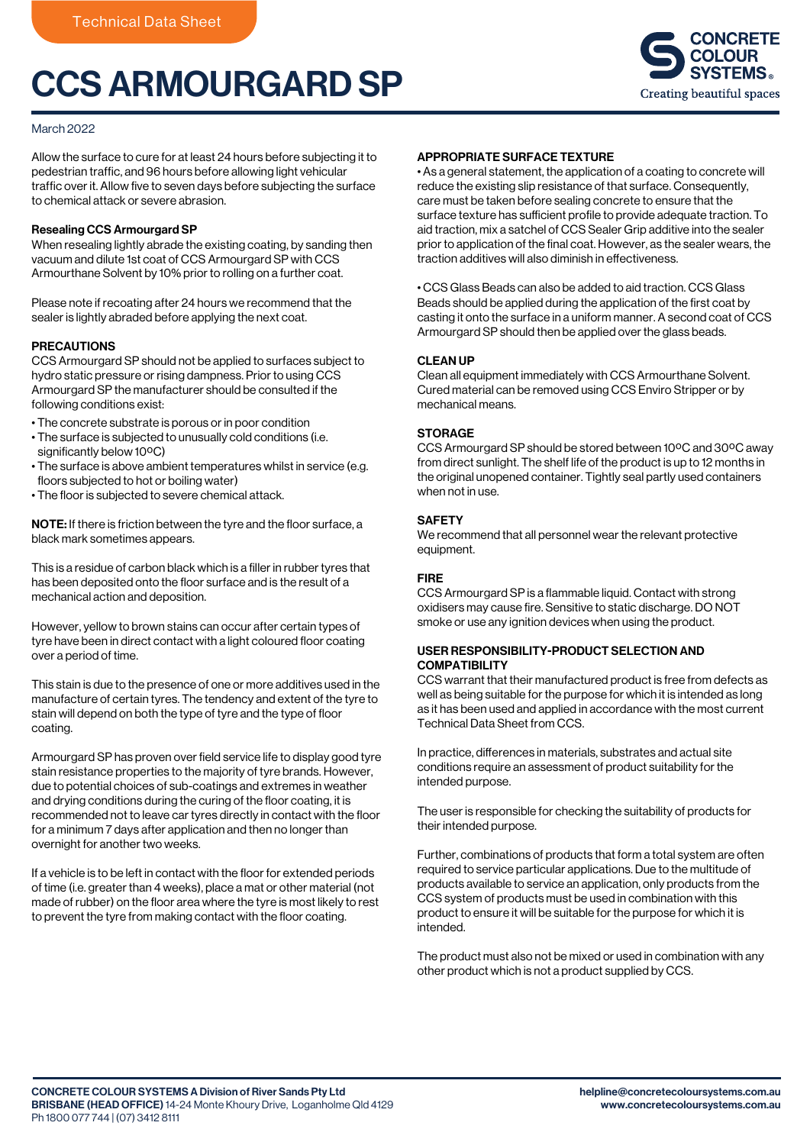# CCS ARMOURGARD SP



# March 2022

Allow the surface to cure for at least 24 hours before subjecting it to pedestrian traffic, and 96 hours before allowing light vehicular traffic over it. Allow five to seven days before subjecting the surface to chemical attack or severe abrasion.

#### Resealing CCS Armourgard SP

When resealing lightly abrade the existing coating, by sanding then vacuum and dilute 1st coat of CCS Armourgard SP with CCS Armourthane Solvent by 10% prior to rolling on a further coat.

Please note if recoating after 24 hours we recommend that the sealer is lightly abraded before applying the next coat.

# PRECAUTIONS

CCS Armourgard SP should not be applied to surfaces subject to hydro static pressure or rising dampness. Prior to using CCS Armourgard SP the manufacturer should be consulted if the following conditions exist:

- The concrete substrate is porous or in poor condition
- The surface is subjected to unusually cold conditions (i.e. significantly below 10°C)
- The surface is above ambient temperatures whilst in service (e.g. floors subjected to hot or boiling water)
- The floor is subjected to severe chemical attack.

NOTE: If there is friction between the tyre and the floor surface, a black mark sometimes appears.

This is a residue of carbon black which is a filler in rubber tyres that has been deposited onto the floor surface and is the result of a mechanical action and deposition.

However, yellow to brown stains can occur after certain types of tyre have been in direct contact with a light coloured floor coating over a period of time.

This stain is due to the presence of one or more additives used in the manufacture of certain tyres. The tendency and extent of the tyre to stain will depend on both the type of tyre and the type of floor coating.

Armourgard SP has proven over field service life to display good tyre stain resistance properties to the majority of tyre brands. However, due to potential choices of sub-coatings and extremes in weather and drying conditions during the curing of the floor coating, it is recommended not to leave car tyres directly in contact with the floor for a minimum 7 days after application and then no longer than overnight for another two weeks.

If a vehicle is to be left in contact with the floor for extended periods of time (i.e. greater than 4 weeks), place a mat or other material (not made of rubber) on the floor area where the tyre is most likely to rest to prevent the tyre from making contact with the floor coating.

# APPROPRIATE SURFACE TEXTURE

• As a general statement, the application of a coating to concrete will reduce the existing slip resistance of that surface. Consequently, care must be taken before sealing concrete to ensure that the surface texture has sufficient profile to provide adequate traction. To aid traction, mix a satchel of CCS Sealer Grip additive into the sealer prior to application of the final coat. However, as the sealer wears, the traction additives will also diminish in effectiveness.

• CCS Glass Beads can also be added to aid traction. CCS Glass Beads should be applied during the application of the first coat by casting it onto the surface in a uniform manner. A second coat of CCS Armourgard SP should then be applied over the glass beads.

# CLEAN UP

Clean all equipment immediately with CCS Armourthane Solvent. Cured material can be removed using CCS Enviro Stripper or by mechanical means.

# **STORAGE**

CCS Armourgard SP should be stored between 10ºC and 30ºC away from direct sunlight. The shelf life of the product is up to 12 months in the original unopened container. Tightly seal partly used containers when not in use.

# **SAFFTY**

We recommend that all personnel wear the relevant protective equipment.

# FIRE

CCS Armourgard SP is a flammable liquid. Contact with strong oxidisers may cause fire. Sensitive to static discharge. DO NOT smoke or use any ignition devices when using the product.

# USER RESPONSIBILITY-PRODUCT SELECTION AND COMPATIBILITY

CCS warrant that their manufactured product is free from defects as well as being suitable for the purpose for which it is intended as long as it has been used and applied in accordance with the most current Technical Data Sheet from CCS.

In practice, differences in materials, substrates and actual site conditions require an assessment of product suitability for the intended purpose.

The user is responsible for checking the suitability of products for their intended purpose.

Further, combinations of products that form a total system are often required to service particular applications. Due to the multitude of products available to service an application, only products from the CCS system of products must be used in combination with this product to ensure it will be suitable for the purpose for which it is intended.

The product must also not be mixed or used in combination with any other product which is not a product supplied by CCS.